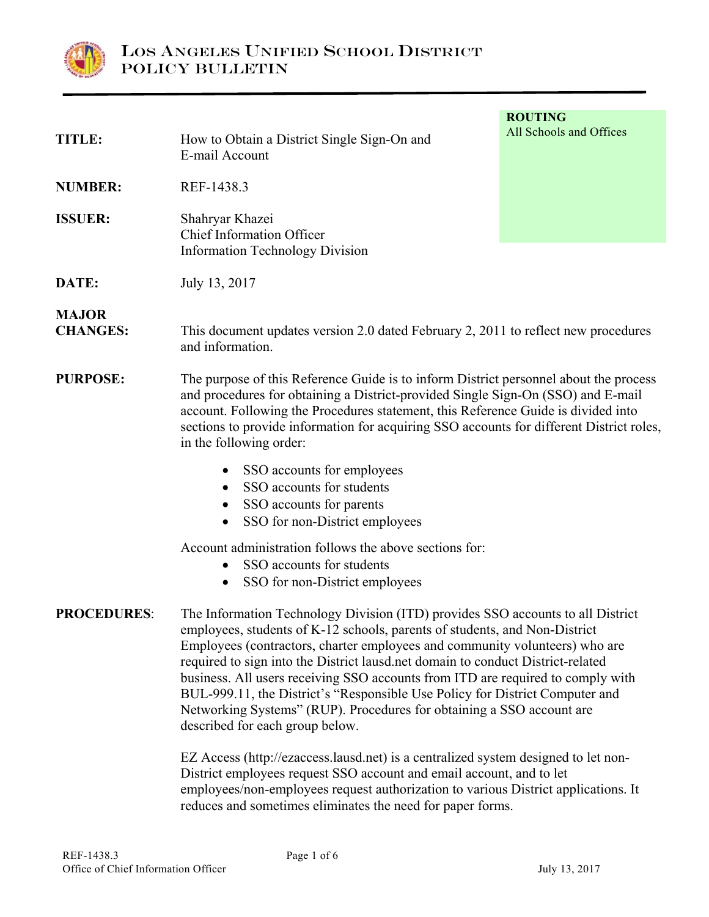

**ROUTING TITLE:** How to Obtain a District Single Sign-On and **All Schools and Offices** E-mail Account **NUMBER:** REF-1438.3 **ISSUER:** Shahryar Khazei Chief Information Officer Information Technology Division **DATE:** July 13, 2017 **MAJOR CHANGES:** This document updates version 2.0 dated February 2, 2011 to reflect new procedures and information. **PURPOSE:** The purpose of this Reference Guide is to inform District personnel about the process and procedures for obtaining a District-provided Single Sign-On (SSO) and E-mail account. Following the Procedures statement, this Reference Guide is divided into sections to provide information for acquiring SSO accounts for different District roles, in the following order: • SSO accounts for employees • SSO accounts for students • SSO accounts for parents • SSO for non-District employees Account administration follows the above sections for: • SSO accounts for students • SSO for non-District employees **PROCEDURES**: The Information Technology Division (ITD) provides SSO accounts to all District employees, students of K-12 schools, parents of students, and Non-District Employees (contractors, charter employees and community volunteers) who are required to sign into the District lausd.net domain to conduct District-related business. All users receiving SSO accounts from ITD are required to comply with

> Networking Systems" (RUP). Procedures for obtaining a SSO account are described for each group below.

 EZ Access (http://ezaccess.lausd.net) is a centralized system designed to let non-District employees request SSO account and email account, and to let employees/non-employees request authorization to various District applications. It reduces and sometimes eliminates the need for paper forms.

BUL-999.11, the District's "Responsible Use Policy for District Computer and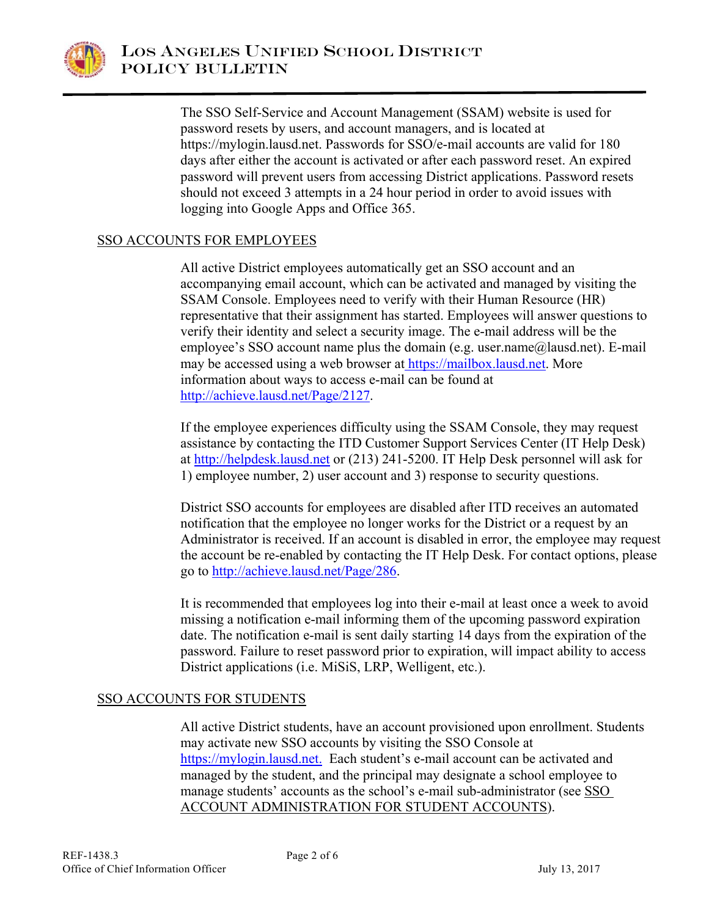

 The SSO Self-Service and Account Management (SSAM) website is used for password resets by users, and account managers, and is located at https://mylogin.lausd.net. Passwords for SSO/e-mail accounts are valid for 180 days after either the account is activated or after each password reset. An expired password will prevent users from accessing District applications. Password resets should not exceed 3 attempts in a 24 hour period in order to avoid issues with logging into Google Apps and Office 365.

# SSO ACCOUNTS FOR EMPLOYEES

 All active District employees automatically get an SSO account and an accompanying email account, which can be activated and managed by visiting the SSAM Console. Employees need to verify with their Human Resource (HR) representative that their assignment has started. Employees will answer questions to verify their identity and select a security image. The e-mail address will be the employee's SSO account name plus the domain (e.g. user.name@lausd.net). E-mail may be accessed using a web browser at https://mailbox.lausd.net. More information about ways to access e-mail can be found at http://achieve.lausd.net/Page/2127.

 If the employee experiences difficulty using the SSAM Console, they may request assistance by contacting the ITD Customer Support Services Center (IT Help Desk) at http://helpdesk.lausd.net or (213) 241-5200. IT Help Desk personnel will ask for 1) employee number, 2) user account and 3) response to security questions.

District SSO accounts for employees are disabled after ITD receives an automated notification that the employee no longer works for the District or a request by an Administrator is received. If an account is disabled in error, the employee may request the account be re-enabled by contacting the IT Help Desk. For contact options, please go to http://achieve.lausd.net/Page/286.

 It is recommended that employees log into their e-mail at least once a week to avoid missing a notification e-mail informing them of the upcoming password expiration date. The notification e-mail is sent daily starting 14 days from the expiration of the password. Failure to reset password prior to expiration, will impact ability to access District applications (i.e. MiSiS, LRP, Welligent, etc.).

## SSO ACCOUNTS FOR STUDENTS

All active District students, have an account provisioned upon enrollment. Students may activate new SSO accounts by visiting the SSO Console at https://mylogin.lausd.net. Each student's e-mail account can be activated and managed by the student, and the principal may designate a school employee to manage students' accounts as the school's e-mail sub-administrator (see SSO ACCOUNT ADMINISTRATION FOR STUDENT ACCOUNTS).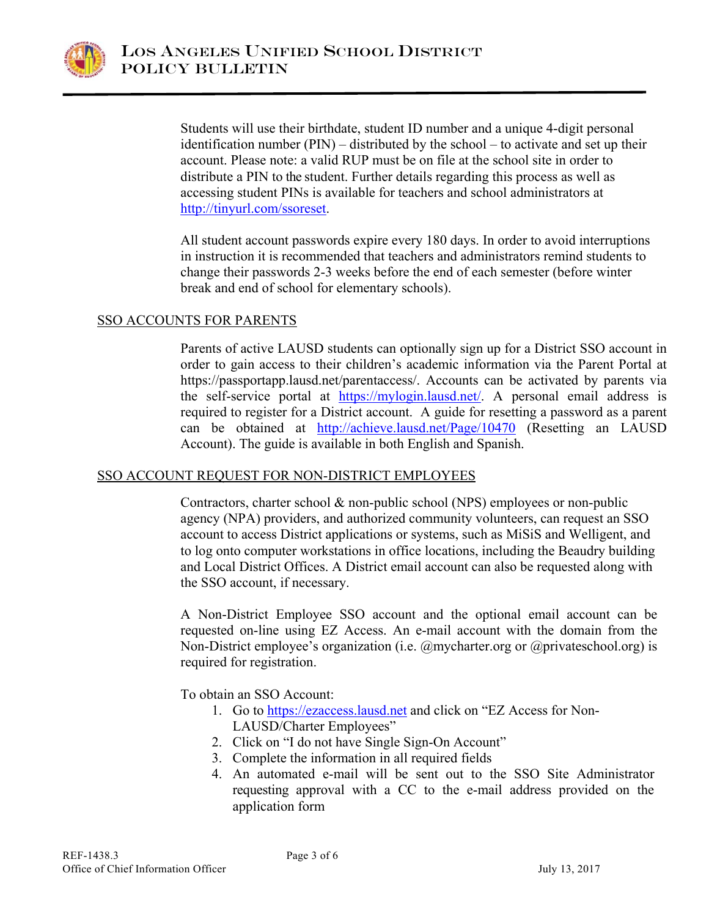

 Students will use their birthdate, student ID number and a unique 4-digit personal identification number (PIN) – distributed by the school – to activate and set up their account. Please note: a valid RUP must be on file at the school site in order to distribute a PIN to the student. Further details regarding this process as well as accessing student PINs is available for teachers and school administrators at http://tinyurl.com/ssoreset.

 All student account passwords expire every 180 days. In order to avoid interruptions in instruction it is recommended that teachers and administrators remind students to change their passwords 2-3 weeks before the end of each semester (before winter break and end of school for elementary schools).

### SSO ACCOUNTS FOR PARENTS

Parents of active LAUSD students can optionally sign up for a District SSO account in order to gain access to their children's academic information via the Parent Portal at https://passportapp.lausd.net/parentaccess/. Accounts can be activated by parents via the self-service portal at https://mylogin.lausd.net/. A personal email address is required to register for a District account. A guide for resetting a password as a parent can be obtained at http://achieve.lausd.net/Page/10470 (Resetting an LAUSD Account). The guide is available in both English and Spanish.

## SSO ACCOUNT REQUEST FOR NON-DISTRICT EMPLOYEES

 Contractors, charter school & non-public school (NPS) employees or non-public agency (NPA) providers, and authorized community volunteers, can request an SSO account to access District applications or systems, such as MiSiS and Welligent, and to log onto computer workstations in office locations, including the Beaudry building and Local District Offices. A District email account can also be requested along with the SSO account, if necessary.

 A Non-District Employee SSO account and the optional email account can be requested on-line using EZ Access. An e-mail account with the domain from the Non-District employee's organization (i.e. @mycharter.org or @privateschool.org) is required for registration.

To obtain an SSO Account:

- 1. Go to https://ezaccess.lausd.net and click on "EZ Access for Non-LAUSD/Charter Employees"
- 2. Click on "I do not have Single Sign-On Account"
- 3. Complete the information in all required fields
- 4. An automated e-mail will be sent out to the SSO Site Administrator requesting approval with a CC to the e-mail address provided on the application form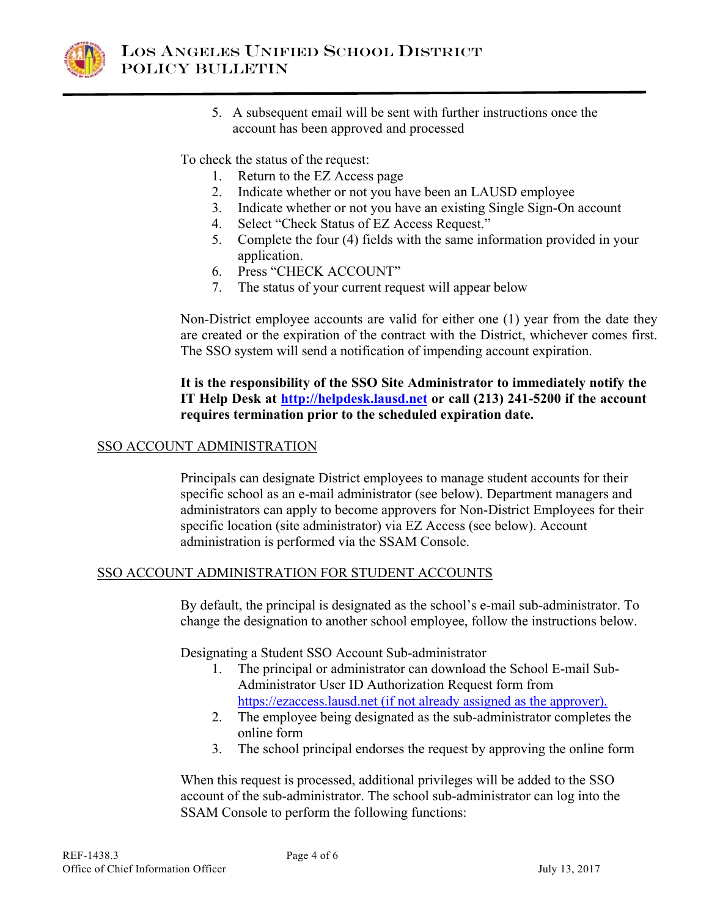

5. A subsequent email will be sent with further instructions once the account has been approved and processed

To check the status of the request:

- 1. Return to the EZ Access page
- 2. Indicate whether or not you have been an LAUSD employee
- 3. Indicate whether or not you have an existing Single Sign-On account
- 4. Select "Check Status of EZ Access Request."
- 5. Complete the four (4) fields with the same information provided in your application.
- 6. Press "CHECK ACCOUNT"
- 7. The status of your current request will appear below

Non-District employee accounts are valid for either one (1) year from the date they are created or the expiration of the contract with the District, whichever comes first. The SSO system will send a notification of impending account expiration.

### **It is the responsibility of the SSO Site Administrator to immediately notify the IT Help Desk at http://helpdesk.lausd.net or call (213) 241-5200 if the account requires termination prior to the scheduled expiration date.**

### SSO ACCOUNT ADMINISTRATION

Principals can designate District employees to manage student accounts for their specific school as an e-mail administrator (see below). Department managers and administrators can apply to become approvers for Non-District Employees for their specific location (site administrator) via EZ Access (see below). Account administration is performed via the SSAM Console.

#### SSO ACCOUNT ADMINISTRATION FOR STUDENT ACCOUNTS

 By default, the principal is designated as the school's e-mail sub-administrator. To change the designation to another school employee, follow the instructions below.

Designating a Student SSO Account Sub-administrator

- 1. The principal or administrator can download the School E-mail Sub-Administrator User ID Authorization Request form from https://ezaccess.lausd.net (if not already assigned as the approver).
- 2. The employee being designated as the sub-administrator completes the online form
- 3. The school principal endorses the request by approving the online form

 When this request is processed, additional privileges will be added to the SSO account of the sub-administrator. The school sub-administrator can log into the SSAM Console to perform the following functions: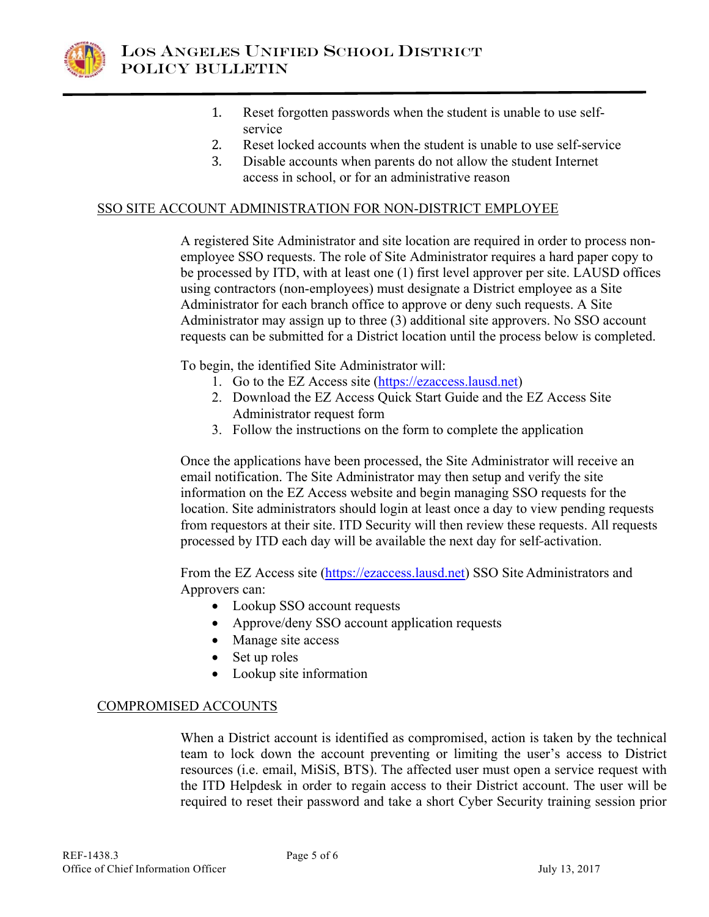

- 1. Reset forgotten passwords when the student is unable to use selfservice
- 2. Reset locked accounts when the student is unable to use self-service
- 3. Disable accounts when parents do not allow the student Internet access in school, or for an administrative reason

### SSO SITE ACCOUNT ADMINISTRATION FOR NON-DISTRICT EMPLOYEE

A registered Site Administrator and site location are required in order to process nonemployee SSO requests. The role of Site Administrator requires a hard paper copy to be processed by ITD, with at least one (1) first level approver per site. LAUSD offices using contractors (non-employees) must designate a District employee as a Site Administrator for each branch office to approve or deny such requests. A Site Administrator may assign up to three (3) additional site approvers. No SSO account requests can be submitted for a District location until the process below is completed.

To begin, the identified Site Administrator will:

- 1. Go to the EZ Access site (https://ezaccess.lausd.net)
- 2. Download the EZ Access Quick Start Guide and the EZ Access Site Administrator request form
- 3. Follow the instructions on the form to complete the application

 Once the applications have been processed, the Site Administrator will receive an email notification. The Site Administrator may then setup and verify the site information on the EZ Access website and begin managing SSO requests for the location. Site administrators should login at least once a day to view pending requests from requestors at their site. ITD Security will then review these requests. All requests processed by ITD each day will be available the next day for self-activation.

 From the EZ Access site (https://ezaccess.lausd.net) SSO Site Administrators and Approvers can:

- Lookup SSO account requests
- Approve/deny SSO account application requests
- Manage site access
- Set up roles
- $\bullet$  Lookup site information

#### COMPROMISED ACCOUNTS

When a District account is identified as compromised, action is taken by the technical team to lock down the account preventing or limiting the user's access to District resources (i.e. email, MiSiS, BTS). The affected user must open a service request with the ITD Helpdesk in order to regain access to their District account. The user will be required to reset their password and take a short Cyber Security training session prior